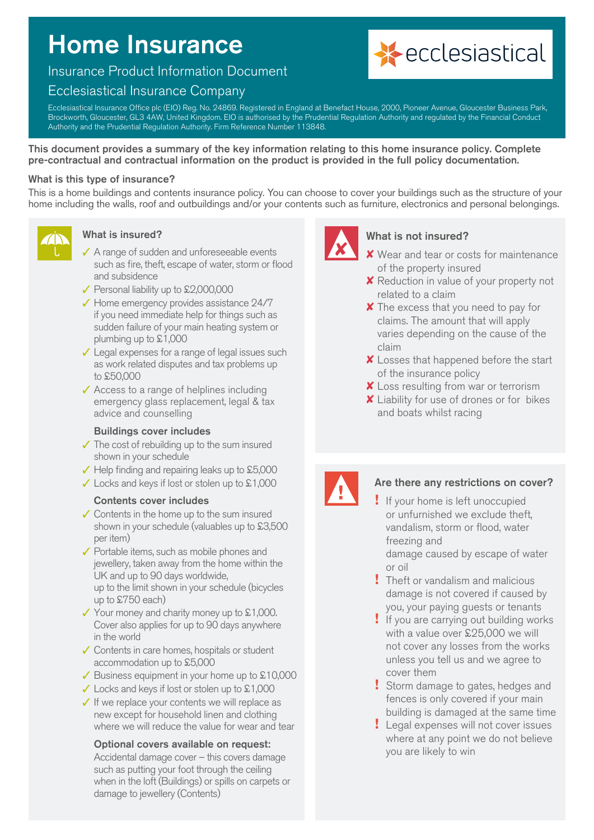# Home Insurance

# Insurance Product Information Document

# Ecclesiastical Insurance Company



Ecclesiastical Insurance Office plc (EIO) Reg. No. 24869. Registered in England at Benefact House, 2000, Pioneer Avenue, Gloucester Business Park, Brockworth, Gloucester, GL3 4AW, United Kingdom. EIO is authorised by the Prudential Regulation Authority and regulated by the Financial Conduct Authority and the Prudential Regulation Authority. Firm Reference Number 113848.

This document provides a summary of the key information relating to this home insurance policy. Complete pre-contractual and contractual information on the product is provided in the full policy documentation.

#### What is this type of insurance?

This is a home buildings and contents insurance policy. You can choose to cover your buildings such as the structure of your home including the walls, roof and outbuildings and/or your contents such as furniture, electronics and personal belongings.



#### What is insured?

- $\checkmark$  A range of sudden and unforeseeable events such as fire, theft, escape of water, storm or flood and subsidence
- $\sqrt{\ }$  Personal liability up to £2,000,000
- $\checkmark$  Home emergency provides assistance 24/7 if you need immediate help for things such as sudden failure of your main heating system or plumbing up to £1,000
- $\checkmark$  Legal expenses for a range of legal issues such as work related disputes and tax problems up to £50,000
- $\checkmark$  Access to a range of helplines including emergency glass replacement, legal & tax advice and counselling

#### Buildings cover includes

- $\checkmark$  The cost of rebuilding up to the sum insured shown in your schedule
- $\checkmark$  Help finding and repairing leaks up to £5,000
- $\checkmark$  Locks and keys if lost or stolen up to £1,000

#### Contents cover includes

- $\checkmark$  Contents in the home up to the sum insured shown in your schedule (valuables up to £3,500 per item)
- $\checkmark$  Portable items, such as mobile phones and jewellery, taken away from the home within the UK and up to 90 days worldwide, up to the limit shown in your schedule (bicycles up to £750 each)
- $\checkmark$  Your money and charity money up to £1,000. Cover also applies for up to 90 days anywhere in the world
- $\checkmark$  Contents in care homes, hospitals or student accommodation up to £5,000
- $\sqrt{\ }$  Business equipment in your home up to £10,000
- $\checkmark$  Locks and keys if lost or stolen up to £1,000
- $\checkmark$  If we replace your contents we will replace as new except for household linen and clothing where we will reduce the value for wear and tear

#### Optional covers available on request:

Accidental damage cover – this covers damage such as putting your foot through the ceiling when in the loft (Buildings) or spills on carpets or damage to jewellery (Contents)



#### What is not insured?

- $\boldsymbol{\times}$  Wear and tear or costs for maintenance of the property insured
- **X** Reduction in value of your property not related to a claim
- $\boldsymbol{\times}$  The excess that you need to pay for claims. The amount that will apply varies depending on the cause of the claim
- $\boldsymbol{\times}$  Losses that happened before the start of the insurance policy
- **X** Loss resulting from war or terrorism
- $\boldsymbol{\times}$  Liability for use of drones or for bikes and boats whilst racing



#### Are there any restrictions on cover?

- **!** If your home is left unoccupied or unfurnished we exclude theft, vandalism, storm or flood, water freezing and damage caused by escape of water
- or oil **!** Theft or vandalism and malicious damage is not covered if caused by you, your paying guests or tenants
- **!** If you are carrying out building works with a value over £25,000 we will not cover any losses from the works unless you tell us and we agree to cover them
- **!** Storm damage to gates, hedges and fences is only covered if your main building is damaged at the same time
- **!** Legal expenses will not cover issues where at any point we do not believe you are likely to win